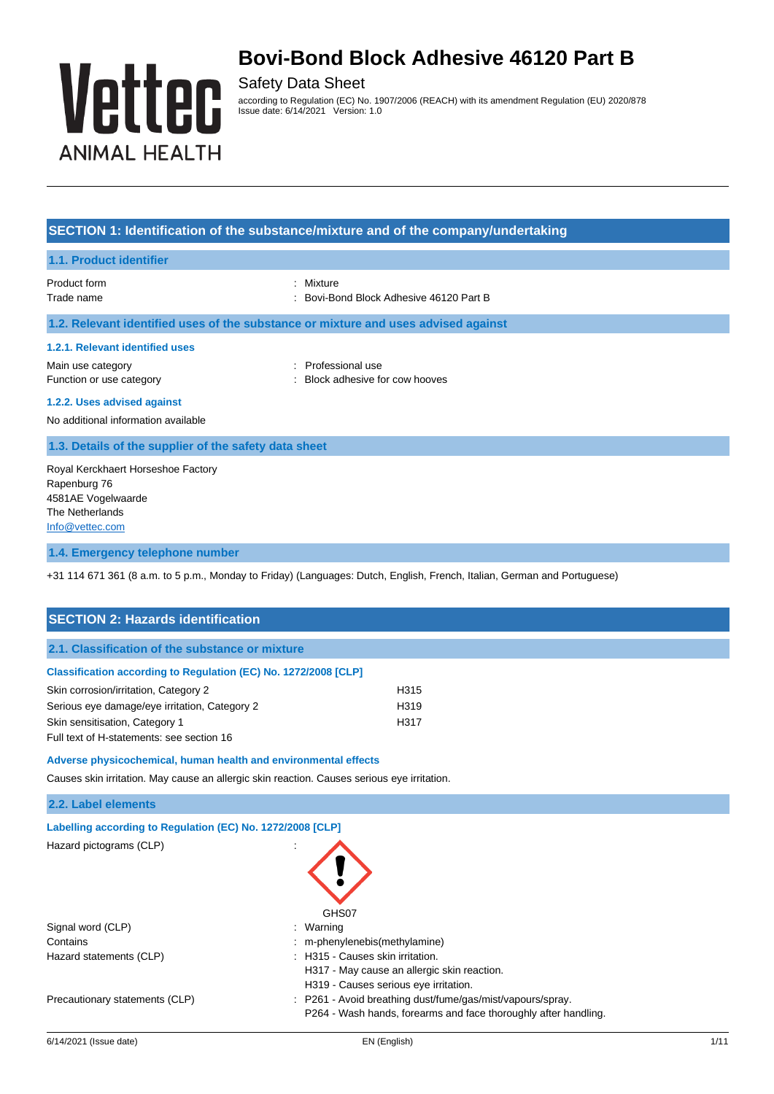

Safety Data Sheet according to Regulation (EC) No. 1907/2006 (REACH) with its amendment Regulation (EU) 2020/878 Issue date: 6/14/2021 Version: 1.0

### **SECTION 1: Identification of the substance/mixture and of the company/undertaking**

#### **1.1. Product identifier**

Product form **: Mixture** Trade name **1988** Contract Market 2008 : Bovi-Bond Block Adhesive 46120 Part B

### **1.2. Relevant identified uses of the substance or mixture and uses advised against**

#### **1.2.1. Relevant identified uses**

Main use category in the category of the category of the category of the category of the category of the category of the category of the category of the category of the category of the category of the category of the categ

- Function or use category **Example 20** Function or use category **and the stategory** of  $\cdot$  Block adhesive for cow hooves
- **1.2.2. Uses advised against**

No additional information available

### **1.3. Details of the supplier of the safety data sheet**

Royal Kerckhaert Horseshoe Factory Rapenburg 76 4581AE Vogelwaarde The Netherlands [Info@vettec.com](mailto:Info@vettec.com)

### **1.4. Emergency telephone number**

+31 114 671 361 (8 a.m. to 5 p.m., Monday to Friday) (Languages: Dutch, English, French, Italian, German and Portuguese)

| <b>SECTION 2: Hazards identification</b>                                                    |                                                                                                                               |  |
|---------------------------------------------------------------------------------------------|-------------------------------------------------------------------------------------------------------------------------------|--|
| 2.1. Classification of the substance or mixture                                             |                                                                                                                               |  |
| Classification according to Regulation (EC) No. 1272/2008 [CLP]                             |                                                                                                                               |  |
| Skin corrosion/irritation, Category 2                                                       | H315                                                                                                                          |  |
| Serious eye damage/eye irritation, Category 2                                               | H319                                                                                                                          |  |
| Skin sensitisation, Category 1                                                              | H317                                                                                                                          |  |
| Full text of H-statements: see section 16                                                   |                                                                                                                               |  |
| Adverse physicochemical, human health and environmental effects                             |                                                                                                                               |  |
| Causes skin irritation. May cause an allergic skin reaction. Causes serious eye irritation. |                                                                                                                               |  |
| 2.2. Label elements                                                                         |                                                                                                                               |  |
| Labelling according to Regulation (EC) No. 1272/2008 [CLP]                                  |                                                                                                                               |  |
| Hazard pictograms (CLP)                                                                     | GHS07                                                                                                                         |  |
| Signal word (CLP)                                                                           | Warning                                                                                                                       |  |
| Contains                                                                                    | m-phenylenebis(methylamine)                                                                                                   |  |
| Hazard statements (CLP)                                                                     | : H315 - Causes skin irritation.                                                                                              |  |
|                                                                                             | H317 - May cause an allergic skin reaction.                                                                                   |  |
|                                                                                             | H319 - Causes serious eye irritation.                                                                                         |  |
| Precautionary statements (CLP)                                                              | : P261 - Avoid breathing dust/fume/gas/mist/vapours/spray.<br>P264 - Wash hands, forearms and face thoroughly after handling. |  |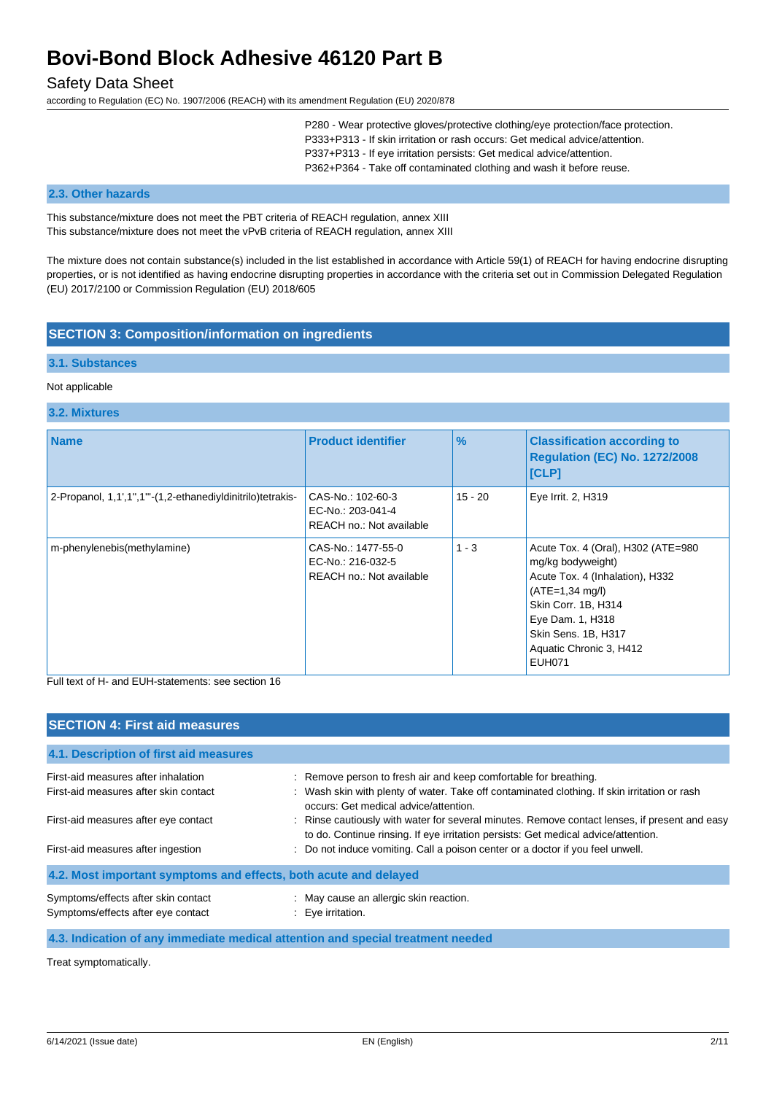## Safety Data Sheet

according to Regulation (EC) No. 1907/2006 (REACH) with its amendment Regulation (EU) 2020/878

P280 - Wear protective gloves/protective clothing/eye protection/face protection. P333+P313 - If skin irritation or rash occurs: Get medical advice/attention. P337+P313 - If eye irritation persists: Get medical advice/attention. P362+P364 - Take off contaminated clothing and wash it before reuse.

#### **2.3. Other hazards**

This substance/mixture does not meet the PBT criteria of REACH regulation, annex XIII This substance/mixture does not meet the vPvB criteria of REACH regulation, annex XIII

The mixture does not contain substance(s) included in the list established in accordance with Article 59(1) of REACH for having endocrine disrupting properties, or is not identified as having endocrine disrupting properties in accordance with the criteria set out in Commission Delegated Regulation (EU) 2017/2100 or Commission Regulation (EU) 2018/605

## **SECTION 3: Composition/information on ingredients**

### **3.1. Substances**

#### Not applicable

#### **3.2. Mixtures**

| <b>Name</b>                                                | <b>Product identifier</b>                                           | $\frac{9}{6}$ | <b>Classification according to</b><br><b>Regulation (EC) No. 1272/2008</b><br><b>[CLP]</b>                                                                                                                                    |
|------------------------------------------------------------|---------------------------------------------------------------------|---------------|-------------------------------------------------------------------------------------------------------------------------------------------------------------------------------------------------------------------------------|
| 2-Propanol, 1,1',1",1"'-(1,2-ethanediyldinitrilo)tetrakis- | CAS-No.: 102-60-3<br>EC-No.: 203-041-4<br>REACH no.: Not available  | $15 - 20$     | Eye Irrit. 2, H319                                                                                                                                                                                                            |
| m-phenylenebis(methylamine)                                | CAS-No.: 1477-55-0<br>EC-No.: 216-032-5<br>REACH no.: Not available | $1 - 3$       | Acute Tox. 4 (Oral), H302 (ATE=980<br>mg/kg bodyweight)<br>Acute Tox. 4 (Inhalation), H332<br>$(ATE=1,34 mg/l)$<br>Skin Corr. 1B, H314<br>Eye Dam. 1, H318<br>Skin Sens. 1B, H317<br>Aquatic Chronic 3, H412<br><b>EUH071</b> |

Full text of H- and EUH-statements: see section 16

| <b>SECTION 4: First aid measures</b>                                      |                                                                                                                                                                                     |
|---------------------------------------------------------------------------|-------------------------------------------------------------------------------------------------------------------------------------------------------------------------------------|
| 4.1. Description of first aid measures                                    |                                                                                                                                                                                     |
| First-aid measures after inhalation                                       | : Remove person to fresh air and keep comfortable for breathing.                                                                                                                    |
| First-aid measures after skin contact                                     | : Wash skin with plenty of water. Take off contaminated clothing. If skin irritation or rash<br>occurs: Get medical advice/attention.                                               |
| First-aid measures after eye contact                                      | : Rinse cautiously with water for several minutes. Remove contact lenses, if present and easy<br>to do. Continue rinsing. If eye irritation persists: Get medical advice/attention. |
| First-aid measures after ingestion                                        | : Do not induce vomiting. Call a poison center or a doctor if you feel unwell.                                                                                                      |
| 4.2. Most important symptoms and effects, both acute and delayed          |                                                                                                                                                                                     |
| Symptoms/effects after skin contact<br>Symptoms/effects after eye contact | : May cause an allergic skin reaction.<br>: Eve irritation.                                                                                                                         |
|                                                                           |                                                                                                                                                                                     |

#### **4.3. Indication of any immediate medical attention and special treatment needed**

Treat symptomatically.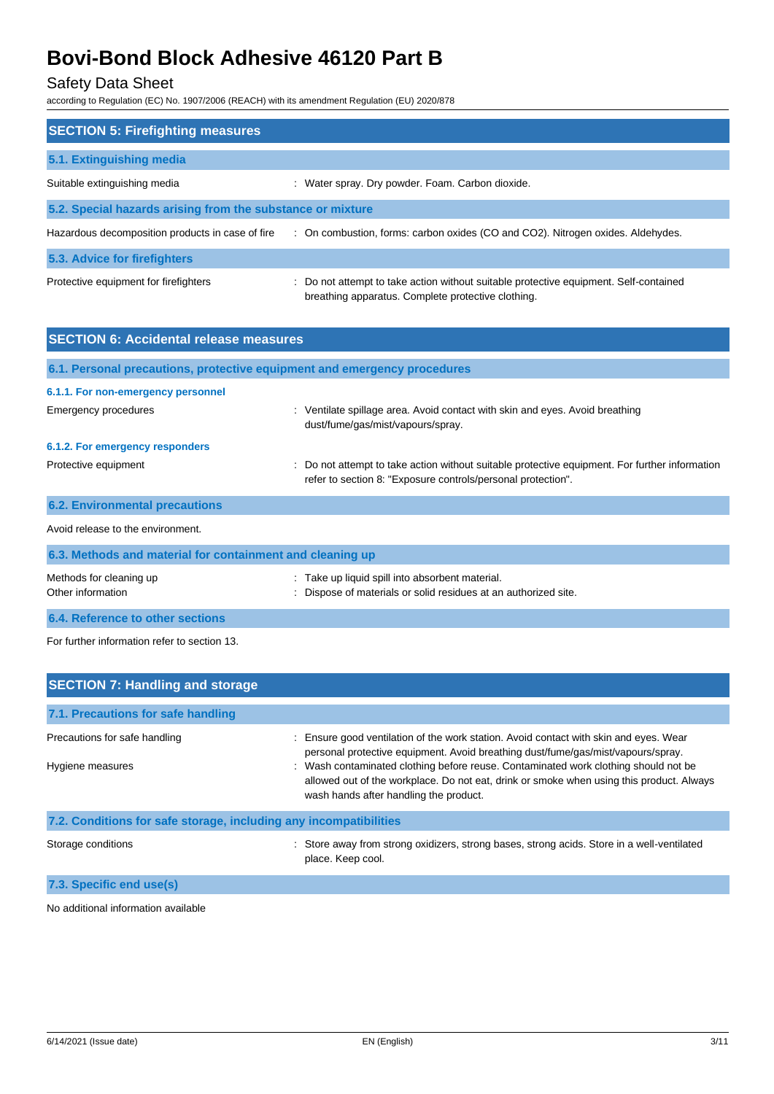# Safety Data Sheet

according to Regulation (EC) No. 1907/2006 (REACH) with its amendment Regulation (EU) 2020/878

| <b>SECTION 5: Firefighting measures</b>                    |                                                                                                                                             |  |  |
|------------------------------------------------------------|---------------------------------------------------------------------------------------------------------------------------------------------|--|--|
| 5.1. Extinguishing media                                   |                                                                                                                                             |  |  |
| Suitable extinguishing media                               | : Water spray. Dry powder. Foam. Carbon dioxide.                                                                                            |  |  |
| 5.2. Special hazards arising from the substance or mixture |                                                                                                                                             |  |  |
| Hazardous decomposition products in case of fire           | : On combustion, forms: carbon oxides (CO and CO2). Nitrogen oxides. Aldehydes.                                                             |  |  |
| 5.3. Advice for firefighters                               |                                                                                                                                             |  |  |
| Protective equipment for firefighters                      | : Do not attempt to take action without suitable protective equipment. Self-contained<br>breathing apparatus. Complete protective clothing. |  |  |

| <b>SECTION 6: Accidental release measures</b>                            |                                                                                                                                                                |
|--------------------------------------------------------------------------|----------------------------------------------------------------------------------------------------------------------------------------------------------------|
| 6.1. Personal precautions, protective equipment and emergency procedures |                                                                                                                                                                |
| 6.1.1. For non-emergency personnel                                       |                                                                                                                                                                |
| Emergency procedures                                                     | : Ventilate spillage area. Avoid contact with skin and eyes. Avoid breathing<br>dust/fume/gas/mist/vapours/spray.                                              |
| 6.1.2. For emergency responders                                          |                                                                                                                                                                |
| Protective equipment                                                     | : Do not attempt to take action without suitable protective equipment. For further information<br>refer to section 8: "Exposure controls/personal protection". |
| <b>6.2. Environmental precautions</b>                                    |                                                                                                                                                                |
| Avoid release to the environment.                                        |                                                                                                                                                                |
| 6.3. Methods and material for containment and cleaning up                |                                                                                                                                                                |
| Methods for cleaning up<br>Other information                             | Take up liquid spill into absorbent material.<br>Dispose of materials or solid residues at an authorized site.                                                 |

**6.4. Reference to other sections**

For further information refer to section 13.

| <b>SECTION 7: Handling and storage</b>                            |                                                                                                                                                                                                                           |
|-------------------------------------------------------------------|---------------------------------------------------------------------------------------------------------------------------------------------------------------------------------------------------------------------------|
| 7.1. Precautions for safe handling                                |                                                                                                                                                                                                                           |
| Precautions for safe handling                                     | : Ensure good ventilation of the work station. Avoid contact with skin and eyes. Wear<br>personal protective equipment. Avoid breathing dust/fume/gas/mist/vapours/spray.                                                 |
| Hygiene measures                                                  | : Wash contaminated clothing before reuse. Contaminated work clothing should not be<br>allowed out of the workplace. Do not eat, drink or smoke when using this product. Always<br>wash hands after handling the product. |
| 7.2. Conditions for safe storage, including any incompatibilities |                                                                                                                                                                                                                           |
| Storage conditions                                                | : Store away from strong oxidizers, strong bases, strong acids. Store in a well-ventilated<br>place. Keep cool.                                                                                                           |

**7.3. Specific end use(s)**

No additional information available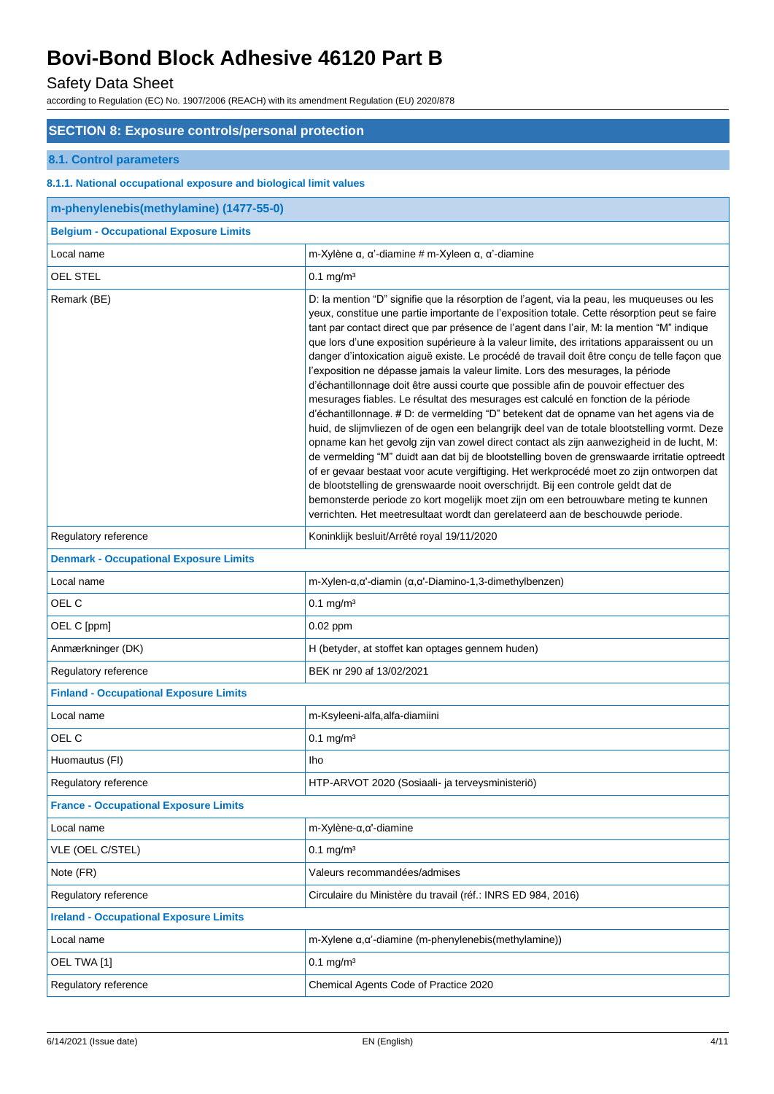# Safety Data Sheet

according to Regulation (EC) No. 1907/2006 (REACH) with its amendment Regulation (EU) 2020/878

## **SECTION 8: Exposure controls/personal protection**

## **8.1. Control parameters**

### **8.1.1. National occupational exposure and biological limit values**

| m-phenylenebis(methylamine) (1477-55-0)       |                                                                                                                                                                                                                                                                                                                                                                                                                                                                                                                                                                                                                                                                                                                                                                                                                                                                                                                                                                                                                                                                                                                                                                                                                                                                                                                                                                                                                                                                                                       |
|-----------------------------------------------|-------------------------------------------------------------------------------------------------------------------------------------------------------------------------------------------------------------------------------------------------------------------------------------------------------------------------------------------------------------------------------------------------------------------------------------------------------------------------------------------------------------------------------------------------------------------------------------------------------------------------------------------------------------------------------------------------------------------------------------------------------------------------------------------------------------------------------------------------------------------------------------------------------------------------------------------------------------------------------------------------------------------------------------------------------------------------------------------------------------------------------------------------------------------------------------------------------------------------------------------------------------------------------------------------------------------------------------------------------------------------------------------------------------------------------------------------------------------------------------------------------|
| <b>Belgium - Occupational Exposure Limits</b> |                                                                                                                                                                                                                                                                                                                                                                                                                                                                                                                                                                                                                                                                                                                                                                                                                                                                                                                                                                                                                                                                                                                                                                                                                                                                                                                                                                                                                                                                                                       |
| Local name                                    | m-Xylène $\alpha$ , $\alpha$ '-diamine # m-Xyleen $\alpha$ , $\alpha$ '-diamine                                                                                                                                                                                                                                                                                                                                                                                                                                                                                                                                                                                                                                                                                                                                                                                                                                                                                                                                                                                                                                                                                                                                                                                                                                                                                                                                                                                                                       |
| <b>OEL STEL</b>                               | $0.1$ mg/m <sup>3</sup>                                                                                                                                                                                                                                                                                                                                                                                                                                                                                                                                                                                                                                                                                                                                                                                                                                                                                                                                                                                                                                                                                                                                                                                                                                                                                                                                                                                                                                                                               |
| Remark (BE)                                   | D: la mention "D" signifie que la résorption de l'agent, via la peau, les muqueuses ou les<br>yeux, constitue une partie importante de l'exposition totale. Cette résorption peut se faire<br>tant par contact direct que par présence de l'agent dans l'air, M: la mention "M" indique<br>que lors d'une exposition supérieure à la valeur limite, des irritations apparaissent ou un<br>danger d'intoxication aiguë existe. Le procédé de travail doit être conçu de telle façon que<br>l'exposition ne dépasse jamais la valeur limite. Lors des mesurages, la période<br>d'échantillonnage doit être aussi courte que possible afin de pouvoir effectuer des<br>mesurages fiables. Le résultat des mesurages est calculé en fonction de la période<br>d'échantillonnage. # D: de vermelding "D" betekent dat de opname van het agens via de<br>huid, de slijmvliezen of de ogen een belangrijk deel van de totale blootstelling vormt. Deze<br>opname kan het gevolg zijn van zowel direct contact als zijn aanwezigheid in de lucht, M:<br>de vermelding "M" duidt aan dat bij de blootstelling boven de grenswaarde irritatie optreedt<br>of er gevaar bestaat voor acute vergiftiging. Het werkprocédé moet zo zijn ontworpen dat<br>de blootstelling de grenswaarde nooit overschrijdt. Bij een controle geldt dat de<br>bemonsterde periode zo kort mogelijk moet zijn om een betrouwbare meting te kunnen<br>verrichten. Het meetresultaat wordt dan gerelateerd aan de beschouwde periode. |
| Regulatory reference                          | Koninklijk besluit/Arrêté royal 19/11/2020                                                                                                                                                                                                                                                                                                                                                                                                                                                                                                                                                                                                                                                                                                                                                                                                                                                                                                                                                                                                                                                                                                                                                                                                                                                                                                                                                                                                                                                            |
| <b>Denmark - Occupational Exposure Limits</b> |                                                                                                                                                                                                                                                                                                                                                                                                                                                                                                                                                                                                                                                                                                                                                                                                                                                                                                                                                                                                                                                                                                                                                                                                                                                                                                                                                                                                                                                                                                       |
| Local name                                    | m-Xylen- $\alpha$ , $\alpha$ '-diamin ( $\alpha$ , $\alpha$ '-Diamino-1,3-dimethylbenzen)                                                                                                                                                                                                                                                                                                                                                                                                                                                                                                                                                                                                                                                                                                                                                                                                                                                                                                                                                                                                                                                                                                                                                                                                                                                                                                                                                                                                             |
| OEL C                                         | $0.1$ mg/m <sup>3</sup>                                                                                                                                                                                                                                                                                                                                                                                                                                                                                                                                                                                                                                                                                                                                                                                                                                                                                                                                                                                                                                                                                                                                                                                                                                                                                                                                                                                                                                                                               |
| OEL C [ppm]                                   | 0.02 ppm                                                                                                                                                                                                                                                                                                                                                                                                                                                                                                                                                                                                                                                                                                                                                                                                                                                                                                                                                                                                                                                                                                                                                                                                                                                                                                                                                                                                                                                                                              |
| Anmærkninger (DK)                             | H (betyder, at stoffet kan optages gennem huden)                                                                                                                                                                                                                                                                                                                                                                                                                                                                                                                                                                                                                                                                                                                                                                                                                                                                                                                                                                                                                                                                                                                                                                                                                                                                                                                                                                                                                                                      |
| Regulatory reference                          | BEK nr 290 af 13/02/2021                                                                                                                                                                                                                                                                                                                                                                                                                                                                                                                                                                                                                                                                                                                                                                                                                                                                                                                                                                                                                                                                                                                                                                                                                                                                                                                                                                                                                                                                              |
| <b>Finland - Occupational Exposure Limits</b> |                                                                                                                                                                                                                                                                                                                                                                                                                                                                                                                                                                                                                                                                                                                                                                                                                                                                                                                                                                                                                                                                                                                                                                                                                                                                                                                                                                                                                                                                                                       |
| Local name                                    | m-Ksyleeni-alfa,alfa-diamiini                                                                                                                                                                                                                                                                                                                                                                                                                                                                                                                                                                                                                                                                                                                                                                                                                                                                                                                                                                                                                                                                                                                                                                                                                                                                                                                                                                                                                                                                         |
| OEL C                                         | $0.1$ mg/m <sup>3</sup>                                                                                                                                                                                                                                                                                                                                                                                                                                                                                                                                                                                                                                                                                                                                                                                                                                                                                                                                                                                                                                                                                                                                                                                                                                                                                                                                                                                                                                                                               |
| Huomautus (FI)                                | Iho                                                                                                                                                                                                                                                                                                                                                                                                                                                                                                                                                                                                                                                                                                                                                                                                                                                                                                                                                                                                                                                                                                                                                                                                                                                                                                                                                                                                                                                                                                   |
| Regulatory reference                          | HTP-ARVOT 2020 (Sosiaali- ja terveysministeriö)                                                                                                                                                                                                                                                                                                                                                                                                                                                                                                                                                                                                                                                                                                                                                                                                                                                                                                                                                                                                                                                                                                                                                                                                                                                                                                                                                                                                                                                       |
| <b>France - Occupational Exposure Limits</b>  |                                                                                                                                                                                                                                                                                                                                                                                                                                                                                                                                                                                                                                                                                                                                                                                                                                                                                                                                                                                                                                                                                                                                                                                                                                                                                                                                                                                                                                                                                                       |
| Local name                                    | $m$ -Xylène- $\alpha, \alpha'$ -diamine                                                                                                                                                                                                                                                                                                                                                                                                                                                                                                                                                                                                                                                                                                                                                                                                                                                                                                                                                                                                                                                                                                                                                                                                                                                                                                                                                                                                                                                               |
| VLE (OEL C/STEL)                              | $0.1 \text{ mg/m}^3$                                                                                                                                                                                                                                                                                                                                                                                                                                                                                                                                                                                                                                                                                                                                                                                                                                                                                                                                                                                                                                                                                                                                                                                                                                                                                                                                                                                                                                                                                  |
| Note (FR)                                     | Valeurs recommandées/admises                                                                                                                                                                                                                                                                                                                                                                                                                                                                                                                                                                                                                                                                                                                                                                                                                                                                                                                                                                                                                                                                                                                                                                                                                                                                                                                                                                                                                                                                          |
| Regulatory reference                          | Circulaire du Ministère du travail (réf.: INRS ED 984, 2016)                                                                                                                                                                                                                                                                                                                                                                                                                                                                                                                                                                                                                                                                                                                                                                                                                                                                                                                                                                                                                                                                                                                                                                                                                                                                                                                                                                                                                                          |
| <b>Ireland - Occupational Exposure Limits</b> |                                                                                                                                                                                                                                                                                                                                                                                                                                                                                                                                                                                                                                                                                                                                                                                                                                                                                                                                                                                                                                                                                                                                                                                                                                                                                                                                                                                                                                                                                                       |
| Local name                                    | $m$ -Xylene $\alpha$ , $\alpha$ '-diamine (m-phenylenebis(methylamine))                                                                                                                                                                                                                                                                                                                                                                                                                                                                                                                                                                                                                                                                                                                                                                                                                                                                                                                                                                                                                                                                                                                                                                                                                                                                                                                                                                                                                               |
| OEL TWA [1]                                   | $0.1 \text{ mg/m}^3$                                                                                                                                                                                                                                                                                                                                                                                                                                                                                                                                                                                                                                                                                                                                                                                                                                                                                                                                                                                                                                                                                                                                                                                                                                                                                                                                                                                                                                                                                  |
| Regulatory reference                          | Chemical Agents Code of Practice 2020                                                                                                                                                                                                                                                                                                                                                                                                                                                                                                                                                                                                                                                                                                                                                                                                                                                                                                                                                                                                                                                                                                                                                                                                                                                                                                                                                                                                                                                                 |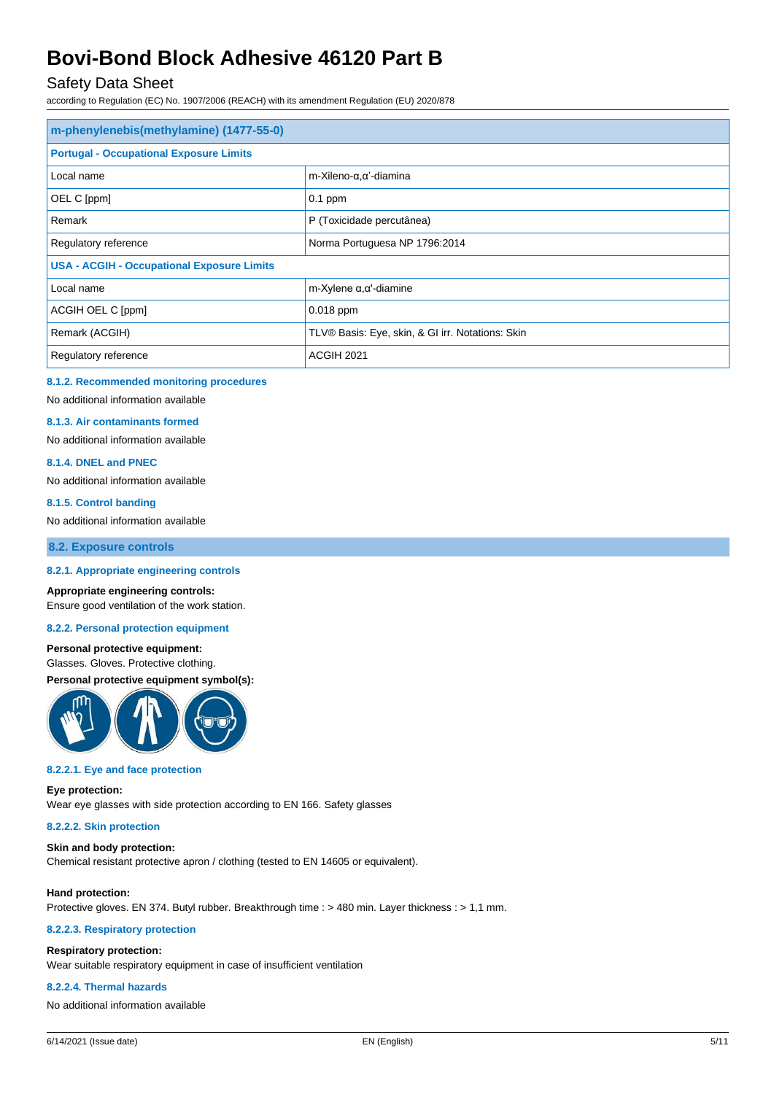## Safety Data Sheet

according to Regulation (EC) No. 1907/2006 (REACH) with its amendment Regulation (EU) 2020/878

| m-phenylenebis(methylamine) (1477-55-0)           |                                                  |  |
|---------------------------------------------------|--------------------------------------------------|--|
| <b>Portugal - Occupational Exposure Limits</b>    |                                                  |  |
| Local name                                        | m-Xileno-α, α'-diamina                           |  |
| OEL C [ppm]                                       | $0.1$ ppm                                        |  |
| Remark                                            | P (Toxicidade percutânea)                        |  |
| Regulatory reference                              | Norma Portuguesa NP 1796:2014                    |  |
| <b>USA - ACGIH - Occupational Exposure Limits</b> |                                                  |  |
| Local name                                        | m-Xylene $\alpha, \alpha'$ -diamine              |  |
| ACGIH OEL C [ppm]                                 | $0.018$ ppm                                      |  |
| Remark (ACGIH)                                    | TLV® Basis: Eye, skin, & GI irr. Notations: Skin |  |
| Regulatory reference                              | <b>ACGIH 2021</b>                                |  |

#### **8.1.2. Recommended monitoring procedures**

No additional information available

#### **8.1.3. Air contaminants formed**

No additional information available

#### **8.1.4. DNEL and PNEC**

No additional information available

#### **8.1.5. Control banding**

No additional information available

**8.2. Exposure controls**

#### **8.2.1. Appropriate engineering controls**

#### **Appropriate engineering controls:**

Ensure good ventilation of the work station.

## **8.2.2. Personal protection equipment**

### **Personal protective equipment:**

Glasses. Gloves. Protective clothing.

## **Personal protective equipment symbol(s):**



#### **8.2.2.1. Eye and face protection**

#### **Eye protection:**

Wear eye glasses with side protection according to EN 166. Safety glasses

#### **8.2.2.2. Skin protection**

#### **Skin and body protection:**

Chemical resistant protective apron / clothing (tested to EN 14605 or equivalent).

#### **Hand protection:**

Protective gloves. EN 374. Butyl rubber. Breakthrough time : > 480 min. Layer thickness : > 1,1 mm.

#### **8.2.2.3. Respiratory protection**

#### **Respiratory protection:**

Wear suitable respiratory equipment in case of insufficient ventilation

#### **8.2.2.4. Thermal hazards**

No additional information available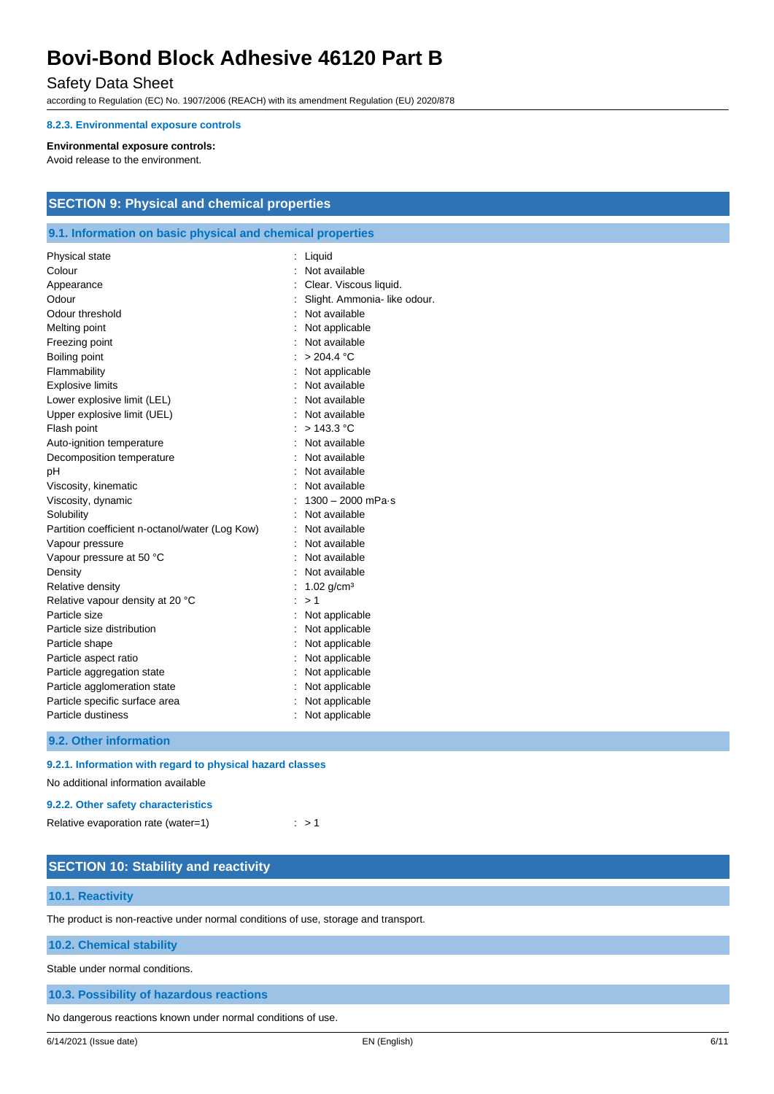## Safety Data Sheet

according to Regulation (EC) No. 1907/2006 (REACH) with its amendment Regulation (EU) 2020/878

#### **8.2.3. Environmental exposure controls**

#### **Environmental exposure controls:**

Avoid release to the environment.

# **SECTION 9: Physical and chemical properties**

## **9.1. Information on basic physical and chemical properties**

| Physical state                                  | : Liquid                     |
|-------------------------------------------------|------------------------------|
| Colour                                          | Not available                |
| Appearance                                      | Clear. Viscous liquid.       |
| Odour                                           | Slight. Ammonia- like odour. |
| Odour threshold                                 | : Not available              |
| Melting point                                   | Not applicable               |
| Freezing point                                  | Not available                |
| Boiling point                                   | > 204.4 °C                   |
| Flammability                                    | Not applicable               |
| <b>Explosive limits</b>                         | Not available                |
| Lower explosive limit (LEL)                     | Not available                |
| Upper explosive limit (UEL)                     | Not available                |
| Flash point                                     | > 143.3 °C                   |
| Auto-ignition temperature                       | Not available                |
| Decomposition temperature                       | Not available                |
| pH                                              | Not available                |
| Viscosity, kinematic                            | Not available                |
| Viscosity, dynamic                              | $1300 - 2000$ mPa $\cdot$ s  |
| Solubility                                      | Not available                |
| Partition coefficient n-octanol/water (Log Kow) | : Not available              |
| Vapour pressure                                 | Not available                |
| Vapour pressure at 50 °C                        | Not available                |
| Density                                         | Not available                |
| Relative density                                | 1.02 $q/cm^3$                |
| Relative vapour density at 20 °C                | >1                           |
| Particle size                                   | Not applicable               |
| Particle size distribution                      | Not applicable               |
| Particle shape                                  | Not applicable               |
| Particle aspect ratio                           | Not applicable               |
| Particle aggregation state                      | Not applicable               |
| Particle agglomeration state                    | Not applicable               |
| Particle specific surface area                  | Not applicable               |
| Particle dustiness                              | Not applicable               |
|                                                 |                              |

**9.2. Other information**

#### **9.2.1. Information with regard to physical hazard classes**

No additional information available

#### **9.2.2. Other safety characteristics**

| Relative evaporation rate (water=1) | : > 1 |
|-------------------------------------|-------|
|-------------------------------------|-------|

| <b>SECTION 10: Stability and reactivity</b>                                        |
|------------------------------------------------------------------------------------|
| 10.1. Reactivity                                                                   |
| The product is non-reactive under normal conditions of use, storage and transport. |
| <b>10.2. Chemical stability</b>                                                    |
| Stable under normal conditions.                                                    |
| 10.3. Possibility of hazardous reactions                                           |

No dangerous reactions known under normal conditions of use.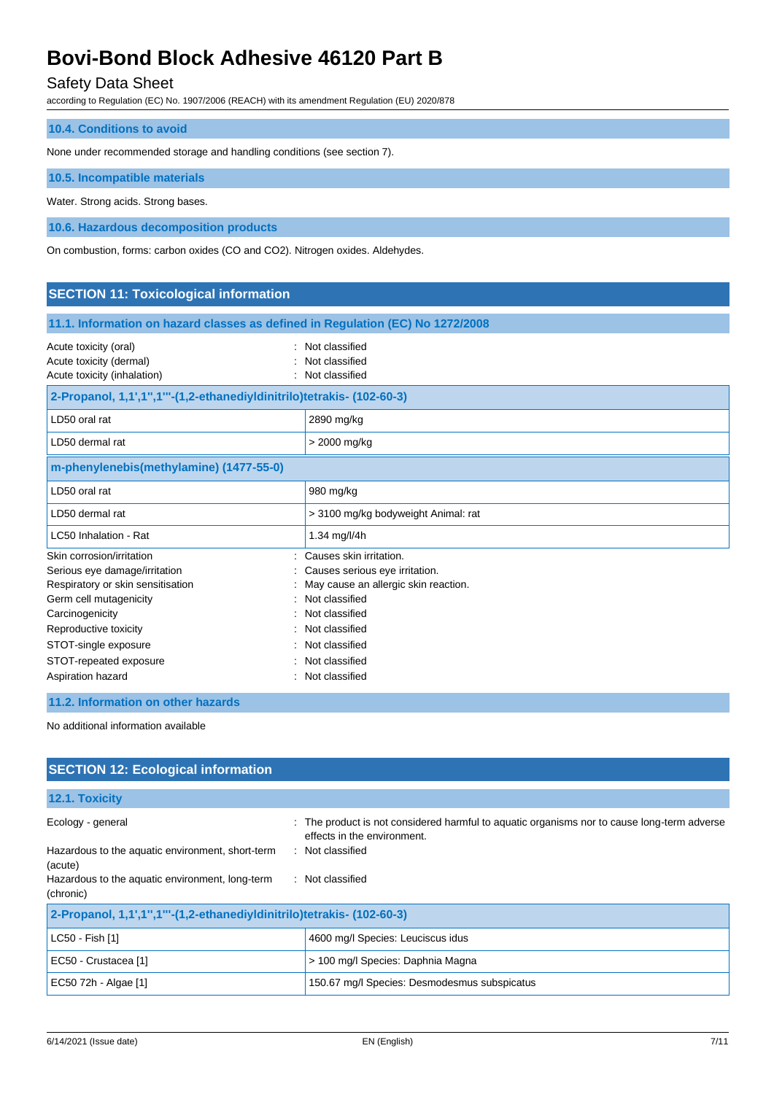# Safety Data Sheet

according to Regulation (EC) No. 1907/2006 (REACH) with its amendment Regulation (EU) 2020/878

| <b>10.4. Conditions to avoid</b> |  |
|----------------------------------|--|
|----------------------------------|--|

None under recommended storage and handling conditions (see section 7).

**10.5. Incompatible materials**

Water. Strong acids. Strong bases.

**10.6. Hazardous decomposition products**

On combustion, forms: carbon oxides (CO and CO2). Nitrogen oxides. Aldehydes.

| <b>SECTION 11: Toxicological information</b>                                                                                                                                                                                                 |                                                                                                                                                                                                               |  |
|----------------------------------------------------------------------------------------------------------------------------------------------------------------------------------------------------------------------------------------------|---------------------------------------------------------------------------------------------------------------------------------------------------------------------------------------------------------------|--|
| 11.1. Information on hazard classes as defined in Regulation (EC) No 1272/2008                                                                                                                                                               |                                                                                                                                                                                                               |  |
| Acute toxicity (oral)<br>Acute toxicity (dermal)<br>Acute toxicity (inhalation)                                                                                                                                                              | Not classified<br>Not classified<br>Not classified                                                                                                                                                            |  |
| 2-Propanol, 1,1',1",1"'-(1,2-ethanediyldinitrilo)tetrakis- (102-60-3)                                                                                                                                                                        |                                                                                                                                                                                                               |  |
| LD50 oral rat                                                                                                                                                                                                                                | 2890 mg/kg                                                                                                                                                                                                    |  |
| LD50 dermal rat                                                                                                                                                                                                                              | > 2000 mg/kg                                                                                                                                                                                                  |  |
| m-phenylenebis(methylamine) (1477-55-0)                                                                                                                                                                                                      |                                                                                                                                                                                                               |  |
| LD50 oral rat                                                                                                                                                                                                                                | 980 mg/kg                                                                                                                                                                                                     |  |
| LD50 dermal rat                                                                                                                                                                                                                              | > 3100 mg/kg bodyweight Animal: rat                                                                                                                                                                           |  |
| LC50 Inhalation - Rat                                                                                                                                                                                                                        | 1.34 mg/l/4h                                                                                                                                                                                                  |  |
| Skin corrosion/irritation<br>Serious eye damage/irritation<br>Respiratory or skin sensitisation<br>Germ cell mutagenicity<br>Carcinogenicity<br>Reproductive toxicity<br>STOT-single exposure<br>STOT-repeated exposure<br>Aspiration hazard | Causes skin irritation.<br>Causes serious eye irritation.<br>May cause an allergic skin reaction.<br>Not classified<br>Not classified<br>Not classified<br>Not classified<br>Not classified<br>Not classified |  |
|                                                                                                                                                                                                                                              |                                                                                                                                                                                                               |  |

### **11.2. Information on other hazards**

No additional information available

| <b>SECTION 12: Ecological information</b>                             |                                                                                                                            |  |
|-----------------------------------------------------------------------|----------------------------------------------------------------------------------------------------------------------------|--|
| 12.1. Toxicity                                                        |                                                                                                                            |  |
| Ecology - general                                                     | : The product is not considered harmful to aquatic organisms nor to cause long-term adverse<br>effects in the environment. |  |
| Hazardous to the aquatic environment, short-term<br>(acute)           | : Not classified                                                                                                           |  |
| Hazardous to the aquatic environment, long-term<br>(chronic)          | : Not classified                                                                                                           |  |
| 2-Propanol, 1,1',1",1"'-(1,2-ethanediyldinitrilo)tetrakis- (102-60-3) |                                                                                                                            |  |
| LC50 - Fish [1]                                                       | 4600 mg/l Species: Leuciscus idus                                                                                          |  |
| EC50 - Crustacea [1]                                                  | > 100 mg/l Species: Daphnia Magna                                                                                          |  |
| EC50 72h - Algae [1]                                                  | 150.67 mg/l Species: Desmodesmus subspicatus                                                                               |  |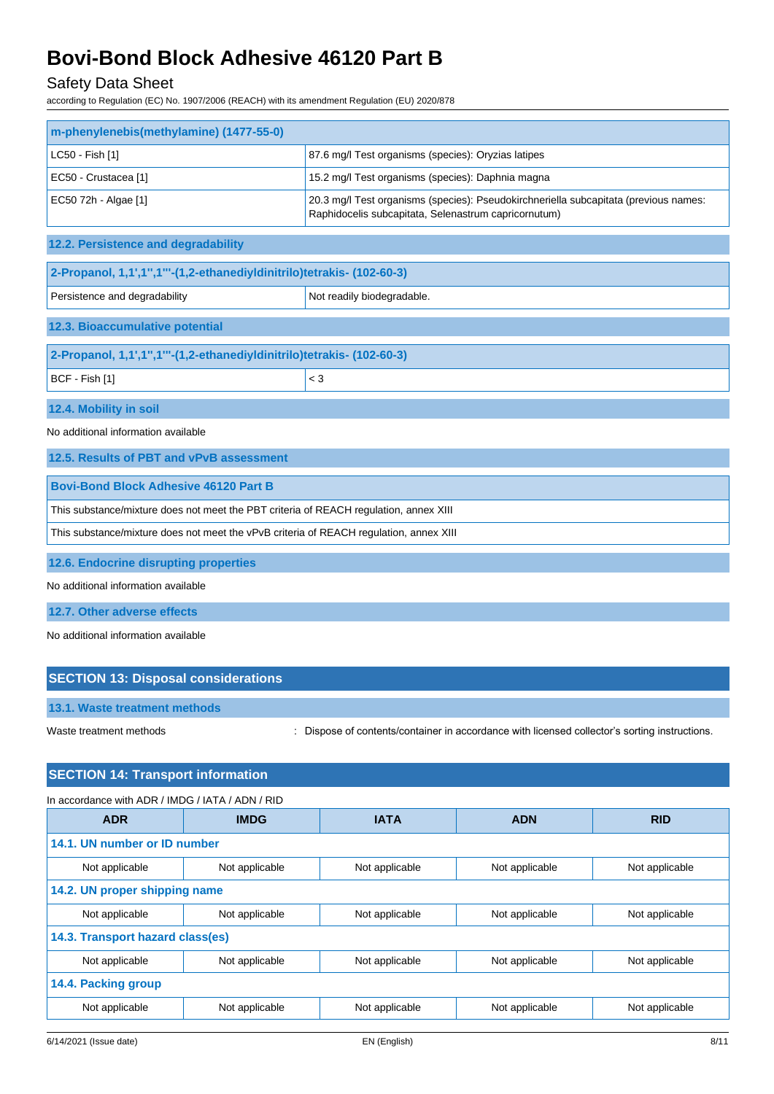# Safety Data Sheet

according to Regulation (EC) No. 1907/2006 (REACH) with its amendment Regulation (EU) 2020/878

| m-phenylenebis(methylamine) (1477-55-0)                               |                                       |                                                                                                                                              |                |                |
|-----------------------------------------------------------------------|---------------------------------------|----------------------------------------------------------------------------------------------------------------------------------------------|----------------|----------------|
| LC50 - Fish [1]                                                       |                                       | 87.6 mg/l Test organisms (species): Oryzias latipes                                                                                          |                |                |
| EC50 - Crustacea [1]                                                  |                                       | 15.2 mg/l Test organisms (species): Daphnia magna                                                                                            |                |                |
| EC50 72h - Algae [1]                                                  |                                       | 20.3 mg/l Test organisms (species): Pseudokirchneriella subcapitata (previous names:<br>Raphidocelis subcapitata, Selenastrum capricornutum) |                |                |
| 12.2. Persistence and degradability                                   |                                       |                                                                                                                                              |                |                |
| 2-Propanol, 1,1',1",1"'-(1,2-ethanediyldinitrilo)tetrakis- (102-60-3) |                                       |                                                                                                                                              |                |                |
| Persistence and degradability                                         |                                       | Not readily biodegradable.                                                                                                                   |                |                |
| 12.3. Bioaccumulative potential                                       |                                       |                                                                                                                                              |                |                |
| 2-Propanol, 1,1',1",1"'-(1,2-ethanediyldinitrilo)tetrakis- (102-60-3) |                                       |                                                                                                                                              |                |                |
| BCF - Fish [1]                                                        |                                       | $<$ 3                                                                                                                                        |                |                |
| 12.4. Mobility in soil                                                |                                       |                                                                                                                                              |                |                |
| No additional information available                                   |                                       |                                                                                                                                              |                |                |
| 12.5. Results of PBT and vPvB assessment                              |                                       |                                                                                                                                              |                |                |
| <b>Bovi-Bond Block Adhesive 46120 Part B</b>                          |                                       |                                                                                                                                              |                |                |
|                                                                       |                                       | This substance/mixture does not meet the PBT criteria of REACH regulation, annex XIII                                                        |                |                |
|                                                                       |                                       | This substance/mixture does not meet the vPvB criteria of REACH regulation, annex XIII                                                       |                |                |
|                                                                       | 12.6. Endocrine disrupting properties |                                                                                                                                              |                |                |
| No additional information available                                   |                                       |                                                                                                                                              |                |                |
| 12.7. Other adverse effects                                           |                                       |                                                                                                                                              |                |                |
| No additional information available                                   |                                       |                                                                                                                                              |                |                |
|                                                                       |                                       |                                                                                                                                              |                |                |
| <b>SECTION 13: Disposal considerations</b>                            |                                       |                                                                                                                                              |                |                |
| 13.1. Waste treatment methods                                         |                                       |                                                                                                                                              |                |                |
| Waste treatment methods                                               |                                       | Dispose of contents/container in accordance with licensed collector's sorting instructions.                                                  |                |                |
|                                                                       |                                       |                                                                                                                                              |                |                |
| <b>SECTION 14: Transport information</b>                              |                                       |                                                                                                                                              |                |                |
| In accordance with ADR / IMDG / IATA / ADN / RID                      |                                       |                                                                                                                                              |                |                |
| <b>ADR</b>                                                            | <b>IMDG</b>                           | <b>IATA</b>                                                                                                                                  | <b>ADN</b>     | <b>RID</b>     |
| 14.1. UN number or ID number                                          |                                       |                                                                                                                                              |                |                |
| Not applicable                                                        | Not applicable                        | Not applicable                                                                                                                               | Not applicable | Not applicable |
| 14.2. UN proper shipping name                                         |                                       |                                                                                                                                              |                |                |
| Not applicable<br>14.3. Transport hazard class(es)                    | Not applicable                        | Not applicable                                                                                                                               | Not applicable | Not applicable |
| Not applicable                                                        | Not applicable                        | Not applicable                                                                                                                               | Not applicable | Not applicable |
| 14.4. Packing group                                                   |                                       |                                                                                                                                              |                |                |
| Not applicable                                                        | Not applicable                        | Not applicable                                                                                                                               | Not applicable | Not applicable |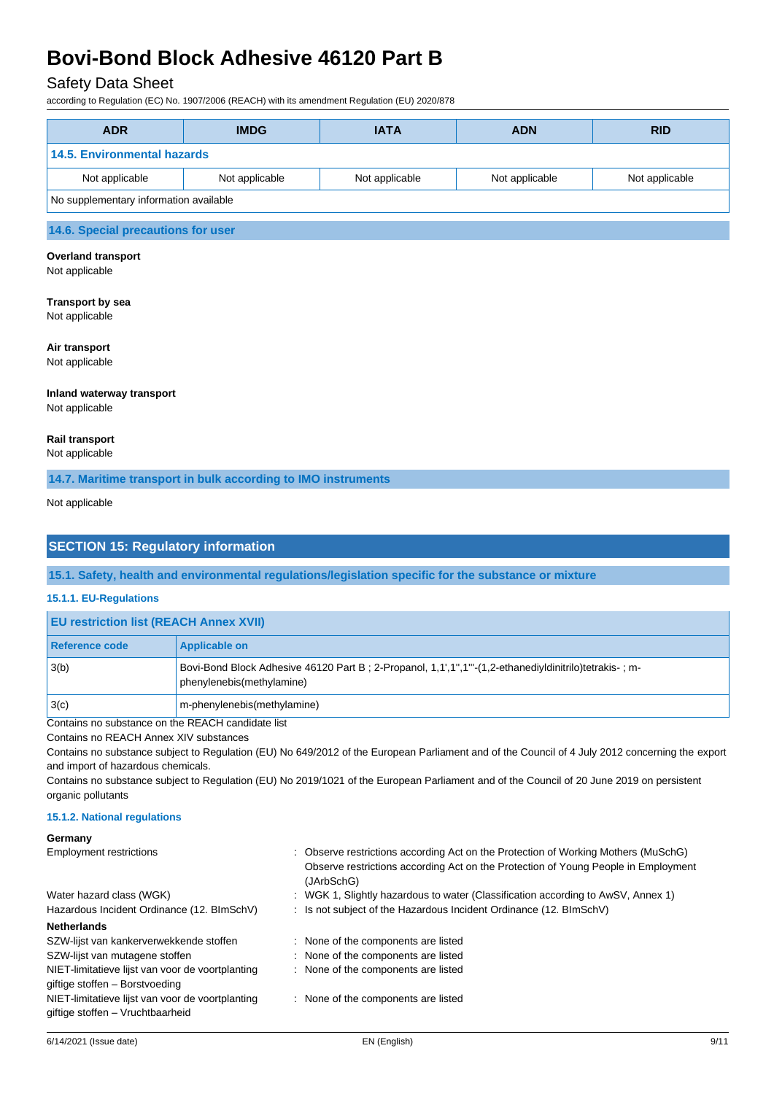## Safety Data Sheet

according to Regulation (EC) No. 1907/2006 (REACH) with its amendment Regulation (EU) 2020/878

| <b>ADR</b>                             | <b>IMDG</b>    | <b>IATA</b>    | <b>ADN</b>     | <b>RID</b>     |
|----------------------------------------|----------------|----------------|----------------|----------------|
| 14.5. Environmental hazards            |                |                |                |                |
| Not applicable                         | Not applicable | Not applicable | Not applicable | Not applicable |
| No supplementary information available |                |                |                |                |
| 14.6. Special precautions for user     |                |                |                |                |

# **Overland transport**

Not applicable

# **Transport by sea**

Not applicable

#### **Air transport**

Not applicable

#### **Inland waterway transport** Not applicable

**Rail transport**

Not applicable

### **14.7. Maritime transport in bulk according to IMO instruments**

Not applicable

## **SECTION 15: Regulatory information**

**15.1. Safety, health and environmental regulations/legislation specific for the substance or mixture**

#### **15.1.1. EU-Regulations**

| <b>EU restriction list (REACH Annex XVII)</b> |                                                                                                                                  |
|-----------------------------------------------|----------------------------------------------------------------------------------------------------------------------------------|
| Reference code                                | <b>Applicable on</b>                                                                                                             |
| 3(b)                                          | Bovi-Bond Block Adhesive 46120 Part B; 2-Propanol, 1,1,1",1" (1,2-ethanediyldinitrilo)tetrakis-; m-<br>phenylenebis(methylamine) |
| 3(c)                                          | m-phenylenebis(methylamine)                                                                                                      |

Contains no substance on the REACH candidate list

Contains no REACH Annex XIV substances

Contains no substance subject to Regulation (EU) No 649/2012 of the European Parliament and of the Council of 4 July 2012 concerning the export and import of hazardous chemicals.

Contains no substance subject to Regulation (EU) No 2019/1021 of the European Parliament and of the Council of 20 June 2019 on persistent organic pollutants

### **15.1.2. National regulations**

| Germany                                          |                                                                                                  |
|--------------------------------------------------|--------------------------------------------------------------------------------------------------|
| <b>Employment restrictions</b>                   | : Observe restrictions according Act on the Protection of Working Mothers (MuSchG)               |
|                                                  | Observe restrictions according Act on the Protection of Young People in Employment<br>(JArbSchG) |
| Water hazard class (WGK)                         | : WGK 1, Slightly hazardous to water (Classification according to AwSV, Annex 1)                 |
| Hazardous Incident Ordinance (12. BImSchV)       | : Is not subject of the Hazardous Incident Ordinance (12. BImSchV)                               |
| <b>Netherlands</b>                               |                                                                                                  |
| SZW-lijst van kankerverwekkende stoffen          | : None of the components are listed                                                              |
| SZW-lijst van mutagene stoffen                   | : None of the components are listed                                                              |
| NIET-limitatieve lijst van voor de voortplanting | : None of the components are listed                                                              |
| giftige stoffen - Borstvoeding                   |                                                                                                  |
| NIET-limitatieve lijst van voor de voortplanting | : None of the components are listed                                                              |
| giftige stoffen - Vruchtbaarheid                 |                                                                                                  |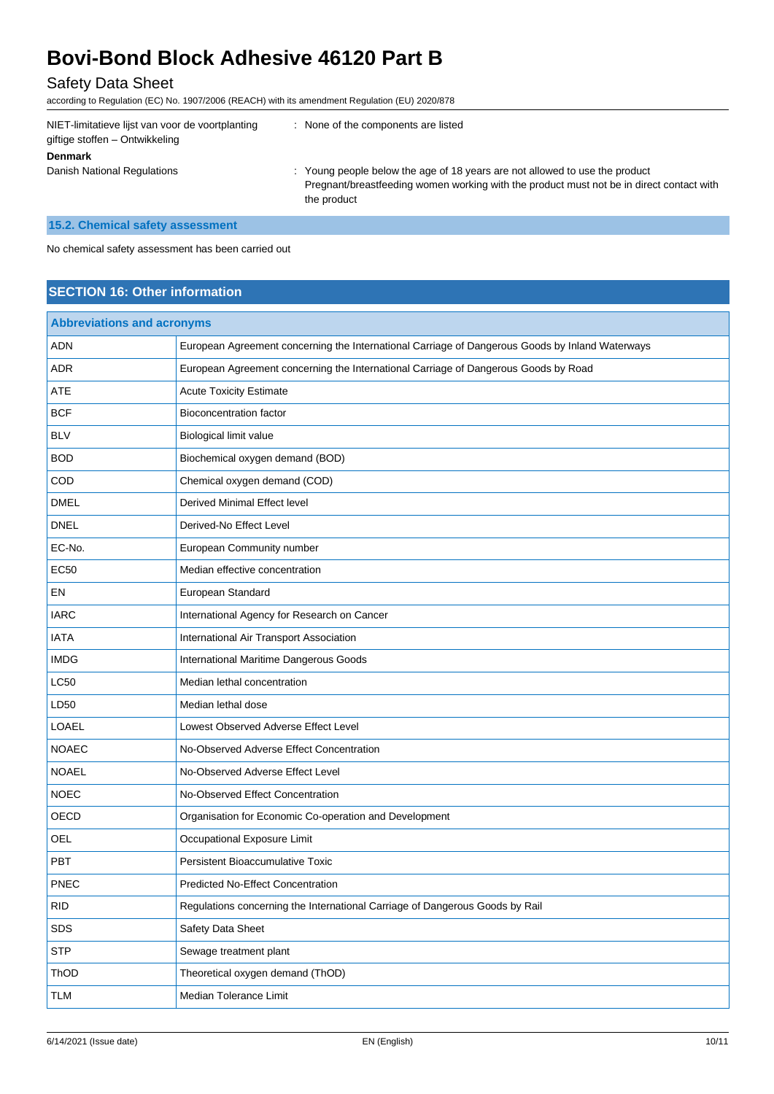# Safety Data Sheet

according to Regulation (EC) No. 1907/2006 (REACH) with its amendment Regulation (EU) 2020/878

| NIET-limitatieve lijst van voor de voortplanting<br>giftige stoffen – Ontwikkeling | None of the components are listed                                                                                                                                                      |
|------------------------------------------------------------------------------------|----------------------------------------------------------------------------------------------------------------------------------------------------------------------------------------|
| <b>Denmark</b>                                                                     |                                                                                                                                                                                        |
| Danish National Regulations                                                        | : Young people below the age of 18 years are not allowed to use the product<br>Pregnant/breastfeeding women working with the product must not be in direct contact with<br>the product |

# **15.2. Chemical safety assessment**

No chemical safety assessment has been carried out

# **SECTION 16: Other information**

| <b>Abbreviations and acronyms</b> |                                                                                                 |  |
|-----------------------------------|-------------------------------------------------------------------------------------------------|--|
| <b>ADN</b>                        | European Agreement concerning the International Carriage of Dangerous Goods by Inland Waterways |  |
| <b>ADR</b>                        | European Agreement concerning the International Carriage of Dangerous Goods by Road             |  |
| <b>ATE</b>                        | <b>Acute Toxicity Estimate</b>                                                                  |  |
| <b>BCF</b>                        | <b>Bioconcentration factor</b>                                                                  |  |
| <b>BLV</b>                        | Biological limit value                                                                          |  |
| <b>BOD</b>                        | Biochemical oxygen demand (BOD)                                                                 |  |
| COD                               | Chemical oxygen demand (COD)                                                                    |  |
| <b>DMEL</b>                       | Derived Minimal Effect level                                                                    |  |
| <b>DNEL</b>                       | Derived-No Effect Level                                                                         |  |
| EC-No.                            | European Community number                                                                       |  |
| <b>EC50</b>                       | Median effective concentration                                                                  |  |
| EN                                | European Standard                                                                               |  |
| <b>IARC</b>                       | International Agency for Research on Cancer                                                     |  |
| <b>IATA</b>                       | International Air Transport Association                                                         |  |
| <b>IMDG</b>                       | International Maritime Dangerous Goods                                                          |  |
| <b>LC50</b>                       | Median lethal concentration                                                                     |  |
| LD50                              | Median lethal dose                                                                              |  |
| LOAEL                             | Lowest Observed Adverse Effect Level                                                            |  |
| <b>NOAEC</b>                      | No-Observed Adverse Effect Concentration                                                        |  |
| <b>NOAEL</b>                      | No-Observed Adverse Effect Level                                                                |  |
| <b>NOEC</b>                       | No-Observed Effect Concentration                                                                |  |
| OECD                              | Organisation for Economic Co-operation and Development                                          |  |
| <b>OEL</b>                        | Occupational Exposure Limit                                                                     |  |
| PBT                               | <b>Persistent Bioaccumulative Toxic</b>                                                         |  |
| PNEC                              | <b>Predicted No-Effect Concentration</b>                                                        |  |
| <b>RID</b>                        | Regulations concerning the International Carriage of Dangerous Goods by Rail                    |  |
| SDS                               | Safety Data Sheet                                                                               |  |
| <b>STP</b>                        | Sewage treatment plant                                                                          |  |
| ThOD                              | Theoretical oxygen demand (ThOD)                                                                |  |
| <b>TLM</b>                        | Median Tolerance Limit                                                                          |  |